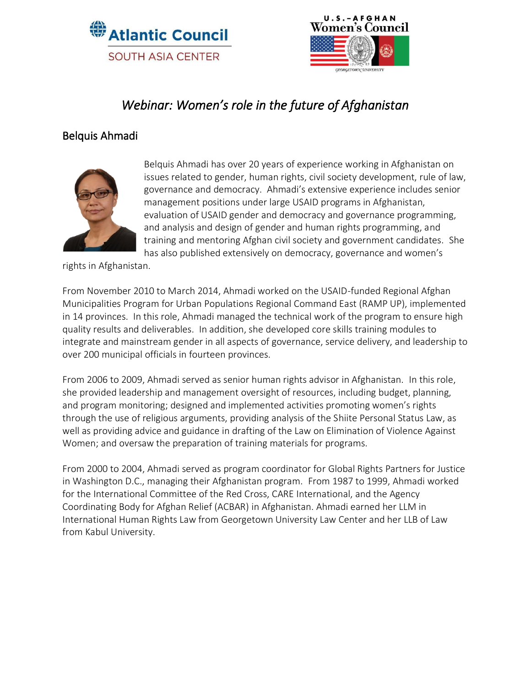



# *Webinar: Women's role in the future of Afghanistan*

### Belquis Ahmadi



Belquis Ahmadi has over 20 years of experience working in Afghanistan on issues related to gender, human rights, civil society development, rule of law, governance and democracy. Ahmadi's extensive experience includes senior management positions under large USAID programs in Afghanistan, evaluation of USAID gender and democracy and governance programming, and analysis and design of gender and human rights programming, and training and mentoring Afghan civil society and government candidates. She has also published extensively on democracy, governance and women's

rights in Afghanistan.

From November 2010 to March 2014, Ahmadi worked on the USAID-funded Regional Afghan Municipalities Program for Urban Populations Regional Command East (RAMP UP), implemented in 14 provinces. In this role, Ahmadi managed the technical work of the program to ensure high quality results and deliverables. In addition, she developed core skills training modules to integrate and mainstream gender in all aspects of governance, service delivery, and leadership to over 200 municipal officials in fourteen provinces.

From 2006 to 2009, Ahmadi served as senior human rights advisor in Afghanistan. In this role, she provided leadership and management oversight of resources, including budget, planning, and program monitoring; designed and implemented activities promoting women's rights through the use of religious arguments, providing analysis of the Shiite Personal Status Law, as well as providing advice and guidance in drafting of the Law on Elimination of Violence Against Women; and oversaw the preparation of training materials for programs.

From 2000 to 2004, Ahmadi served as program coordinator for Global Rights Partners for Justice in Washington D.C., managing their Afghanistan program. From 1987 to 1999, Ahmadi worked for the International Committee of the Red Cross, CARE International, and the Agency Coordinating Body for Afghan Relief (ACBAR) in Afghanistan. Ahmadi earned her LLM in International Human Rights Law from Georgetown University Law Center and her LLB of Law from Kabul University.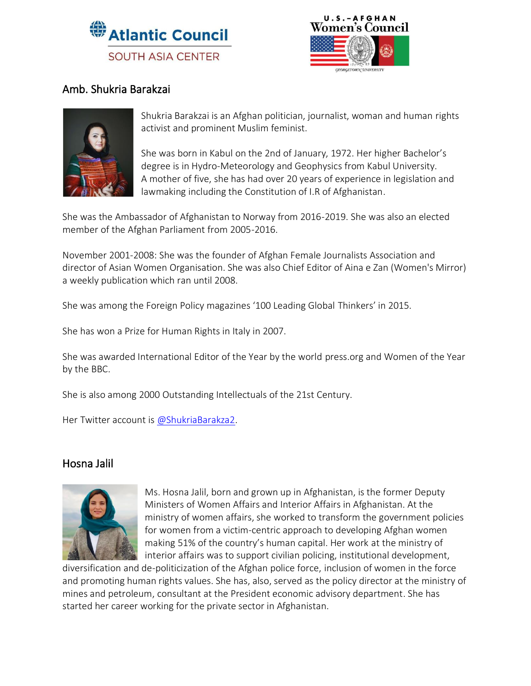



## Amb. Shukria Barakzai



Shukria Barakzai is an Afghan politician, journalist, woman and human rights activist and prominent Muslim feminist.

She was born in Kabul on the 2nd of January, 1972. Her higher Bachelor's degree is in Hydro-Meteorology and Geophysics from Kabul University. A mother of five, she has had over 20 years of experience in legislation and lawmaking including the Constitution of I.R of Afghanistan.

She was the Ambassador of Afghanistan to Norway from 2016-2019. She was also an elected member of the Afghan Parliament from 2005-2016.

November 2001-2008: She was the founder of Afghan Female Journalists Association and director of Asian Women Organisation. She was also Chief Editor of Aina e Zan (Women's Mirror) a weekly publication which ran until 2008.

She was among the Foreign Policy magazines '100 Leading Global Thinkers' in 2015.

She has won a Prize for Human Rights in Italy in 2007.

She was awarded International Editor of the Year by the world [press.org](http://press.org/) and Women of the Year by the BBC.

She is also among 2000 Outstanding Intellectuals of the 21st Century.

Her Twitter account is [@ShukriaBarakza2.](https://twitter.com/shukriabarakza2)

#### Hosna Jalil



Ms. Hosna Jalil, born and grown up in Afghanistan, is the former Deputy Ministers of Women Affairs and Interior Affairs in Afghanistan. At the ministry of women affairs, she worked to transform the government policies for women from a victim-centric approach to developing Afghan women making 51% of the country's human capital. Her work at the ministry of interior affairs was to support civilian policing, institutional development,

diversification and de-politicization of the Afghan police force, inclusion of women in the force and promoting human rights values. She has, also, served as the policy director at the ministry of mines and petroleum, consultant at the President economic advisory department. She has started her career working for the private sector in Afghanistan.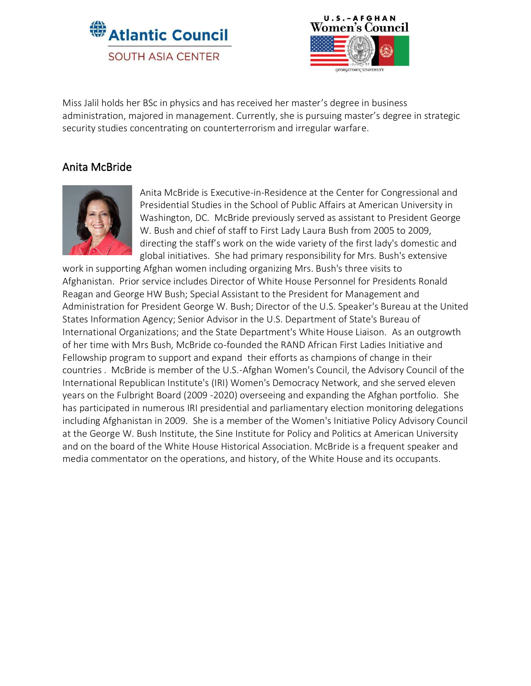



Miss Jalil holds her BSc in physics and has received her master's degree in business administration, majored in management. Currently, she is pursuing master's degree in strategic security studies concentrating on counterterrorism and irregular warfare.

#### Anita McBride



Anita McBride is Executive-in-Residence at the Center for Congressional and Presidential Studies in the School of Public Affairs at American University in Washington, DC. McBride previously served as assistant to President George W. Bush and chief of staff to First Lady Laura Bush from 2005 to 2009, directing the staff's work on the wide variety of the first lady's domestic and global initiatives. She had primary responsibility for Mrs. Bush's extensive

work in supporting Afghan women including organizing Mrs. Bush's three visits to Afghanistan. Prior service includes Director of White House Personnel for Presidents Ronald Reagan and George HW Bush; Special Assistant to the President for Management and Administration for President George W. Bush; Director of the U.S. Speaker's Bureau at the United States Information Agency; Senior Advisor in the U.S. Department of State's Bureau of International Organizations; and the State Department's White House Liaison. As an outgrowth of her time with Mrs Bush, McBride co-founded the RAND African First Ladies Initiative and Fellowship program to support and expand their efforts as champions of change in their countries . McBride is member of the U.S.-Afghan Women's Council, the Advisory Council of the International Republican Institute's (IRI) Women's Democracy Network, and she served eleven years on the Fulbright Board (2009 -2020) overseeing and expanding the Afghan portfolio. She has participated in numerous IRI presidential and parliamentary election monitoring delegations including Afghanistan in 2009. She is a member of the Women's Initiative Policy Advisory Council at the George W. Bush Institute, the Sine Institute for Policy and Politics at American University and on the board of the White House Historical Association. McBride is a frequent speaker and media commentator on the operations, and history, of the White House and its occupants.